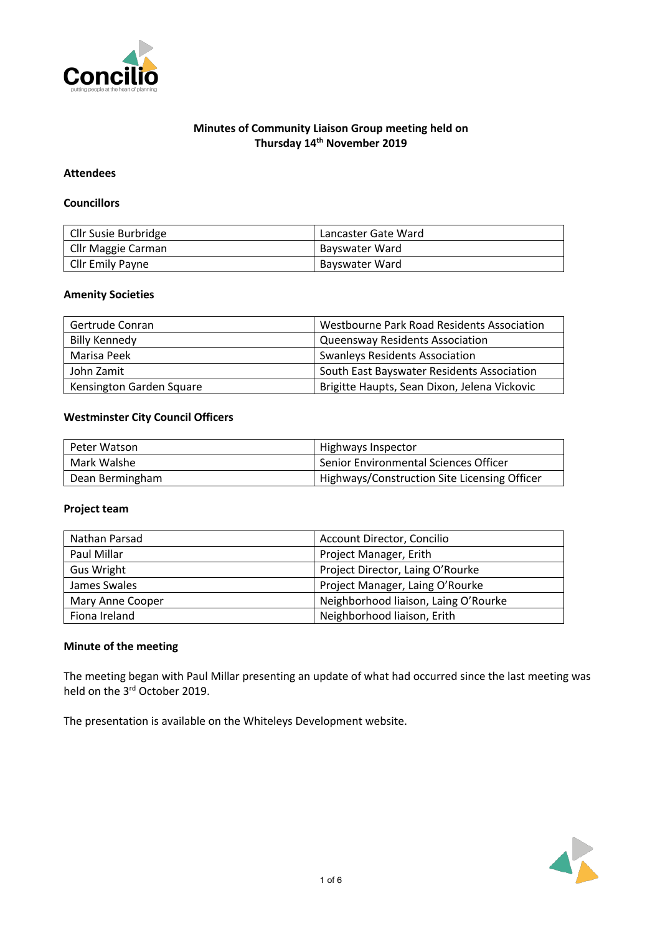

# **Minutes of Community Liaison Group meeting held on Thursday 14th November 2019**

## **Attendees**

#### **Councillors**

| Cllr Susie Burbridge    | Lancaster Gate Ward |
|-------------------------|---------------------|
| Cllr Maggie Carman      | Bayswater Ward      |
| <b>Cllr Emily Payne</b> | Bayswater Ward      |

#### **Amenity Societies**

| Gertrude Conran          | Westbourne Park Road Residents Association   |
|--------------------------|----------------------------------------------|
| <b>Billy Kennedy</b>     | <b>Queensway Residents Association</b>       |
| Marisa Peek              | <b>Swanleys Residents Association</b>        |
| John Zamit               | South East Bayswater Residents Association   |
| Kensington Garden Square | Brigitte Haupts, Sean Dixon, Jelena Vickovic |

### **Westminster City Council Officers**

| Peter Watson    | Highways Inspector                           |
|-----------------|----------------------------------------------|
| Mark Walshe     | Senior Environmental Sciences Officer        |
| Dean Bermingham | Highways/Construction Site Licensing Officer |

#### **Project team**

| Nathan Parsad     | Account Director, Concilio           |
|-------------------|--------------------------------------|
| Paul Millar       | Project Manager, Erith               |
| <b>Gus Wright</b> | Project Director, Laing O'Rourke     |
| James Swales      | Project Manager, Laing O'Rourke      |
| Mary Anne Cooper  | Neighborhood liaison, Laing O'Rourke |
| Fiona Ireland     | Neighborhood liaison, Erith          |

## **Minute of the meeting**

The meeting began with Paul Millar presenting an update of what had occurred since the last meeting was held on the 3rd October 2019.

The presentation is available on the Whiteleys Development website.

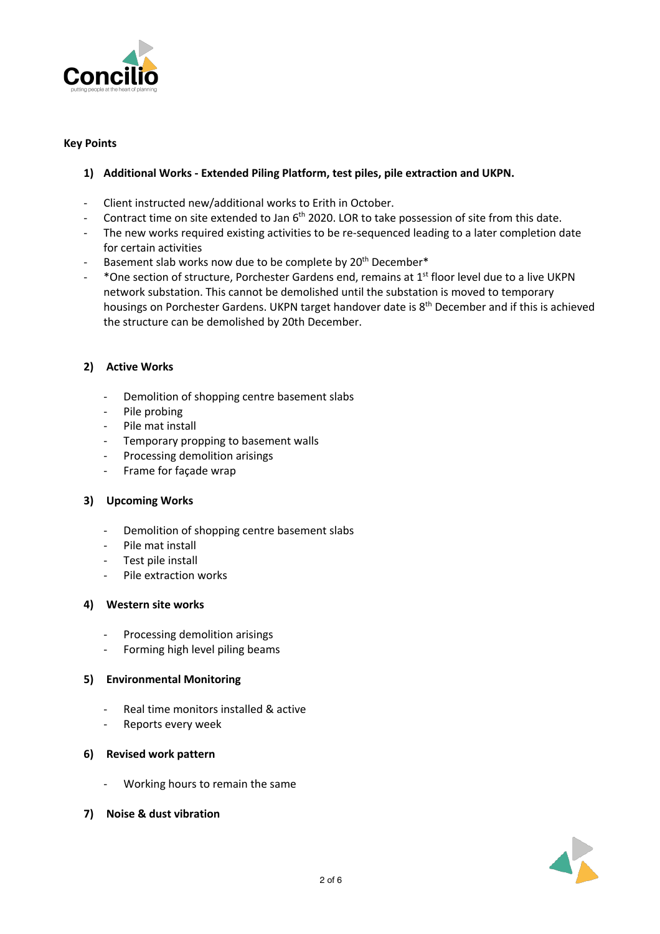

### **Key Points**

# **1) Additional Works - Extended Piling Platform, test piles, pile extraction and UKPN.**

- Client instructed new/additional works to Erith in October.
- Contract time on site extended to Jan 6<sup>th</sup> 2020. LOR to take possession of site from this date.
- The new works required existing activities to be re-sequenced leading to a later completion date for certain activities
- Basement slab works now due to be complete by 20<sup>th</sup> December\*
- $\sim$  \*One section of structure, Porchester Gardens end, remains at 1<sup>st</sup> floor level due to a live UKPN network substation. This cannot be demolished until the substation is moved to temporary housings on Porchester Gardens. UKPN target handover date is 8<sup>th</sup> December and if this is achieved the structure can be demolished by 20th December.

# **2) Active Works**

- Demolition of shopping centre basement slabs
- Pile probing
- Pile mat install
- Temporary propping to basement walls
- Processing demolition arisings
- Frame for façade wrap

#### **3) Upcoming Works**

- Demolition of shopping centre basement slabs
- Pile mat install
- Test pile install
- Pile extraction works

#### **4) Western site works**

- Processing demolition arisings
- Forming high level piling beams

#### **5) Environmental Monitoring**

- Real time monitors installed & active
- Reports every week

#### **6) Revised work pattern**

- Working hours to remain the same
- **7) Noise & dust vibration**

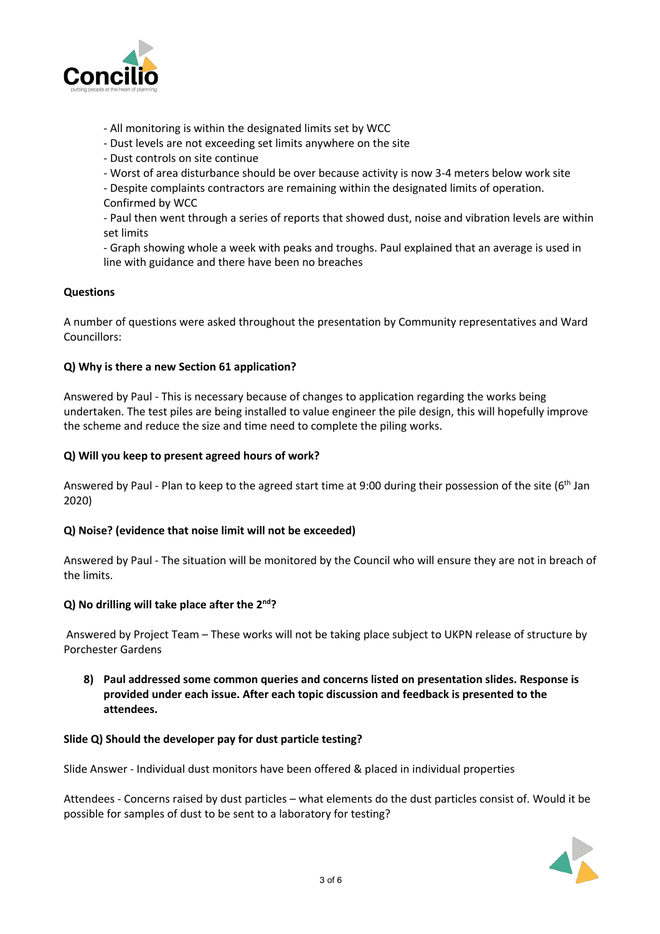

- All monitoring is within the designated limits set by WCC
- Dust levels are not exceeding set limits anywhere on the site
- Dust controls on site continue
- Worst of area disturbance should be over because activity is now 3-4 meters below work site
- Despite complaints contractors are remaining within the designated limits of operation. Confirmed by WCC

- Paul then went through a series of reports that showed dust, noise and vibration levels are within set limits

- Graph showing whole a week with peaks and troughs. Paul explained that an average is used in line with guidance and there have been no breaches

### **Questions**

A number of questions were asked throughout the presentation by Community representatives and Ward Councillors:

### **Q) Why is there a new Section 61 application?**

Answered by Paul - This is necessary because of changes to application regarding the works being undertaken. The test piles are being installed to value engineer the pile design, this will hopefully improve the scheme and reduce the size and time need to complete the piling works.

### **Q) Will you keep to present agreed hours of work?**

Answered by Paul - Plan to keep to the agreed start time at 9:00 during their possession of the site ( $6<sup>th</sup>$  Jan 2020)

# **Q) Noise? (evidence that noise limit will not be exceeded)**

Answered by Paul - The situation will be monitored by the Council who will ensure they are not in breach of the limits.

#### **Q) No drilling will take place after the 2nd?**

Answered by Project Team – These works will not be taking place subject to UKPN release of structure by Porchester Gardens

**8) Paul addressed some common queries and concerns listed on presentation slides. Response is provided under each issue. After each topic discussion and feedback is presented to the attendees.**

#### **Slide Q) Should the developer pay for dust particle testing?**

Slide Answer - Individual dust monitors have been offered & placed in individual properties

Attendees - Concerns raised by dust particles – what elements do the dust particles consist of. Would it be possible for samples of dust to be sent to a laboratory for testing?

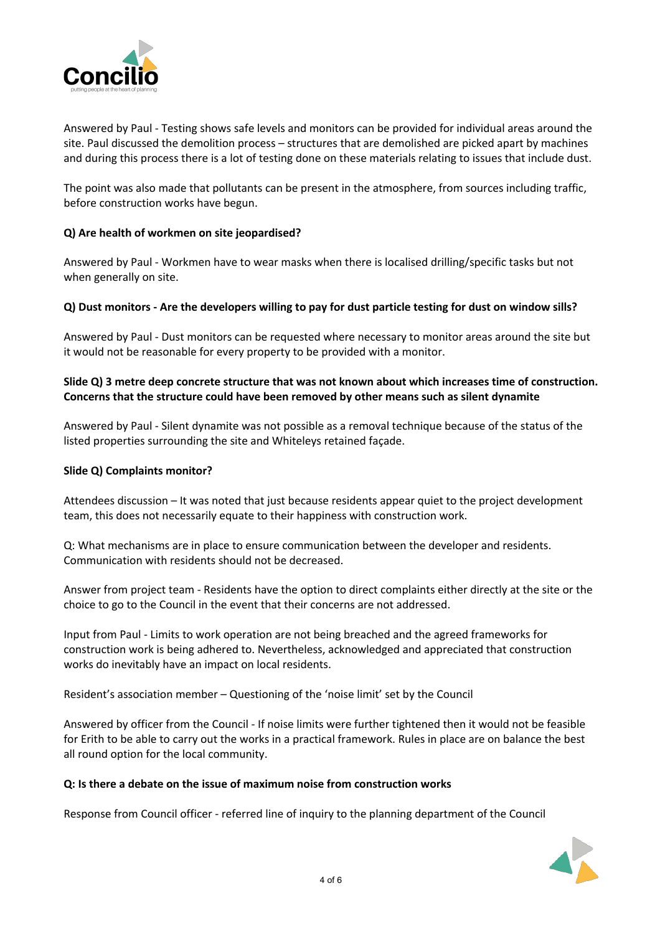

Answered by Paul - Testing shows safe levels and monitors can be provided for individual areas around the site. Paul discussed the demolition process – structures that are demolished are picked apart by machines and during this process there is a lot of testing done on these materials relating to issues that include dust.

The point was also made that pollutants can be present in the atmosphere, from sources including traffic, before construction works have begun.

## **Q) Are health of workmen on site jeopardised?**

Answered by Paul - Workmen have to wear masks when there is localised drilling/specific tasks but not when generally on site.

#### Q) Dust monitors - Are the developers willing to pay for dust particle testing for dust on window sills?

Answered by Paul - Dust monitors can be requested where necessary to monitor areas around the site but it would not be reasonable for every property to be provided with a monitor.

### **Slide Q) 3 metre deep concrete structure that was not known about which increases time of construction. Concerns that the structure could have been removed by other means such as silent dynamite**

Answered by Paul - Silent dynamite was not possible as a removal technique because of the status of the listed properties surrounding the site and Whiteleys retained façade.

#### **Slide Q) Complaints monitor?**

Attendees discussion – It was noted that just because residents appear quiet to the project development team, this does not necessarily equate to their happiness with construction work.

Q: What mechanisms are in place to ensure communication between the developer and residents. Communication with residents should not be decreased.

Answer from project team - Residents have the option to direct complaints either directly at the site or the choice to go to the Council in the event that their concerns are not addressed.

Input from Paul - Limits to work operation are not being breached and the agreed frameworks for construction work is being adhered to. Nevertheless, acknowledged and appreciated that construction works do inevitably have an impact on local residents.

Resident's association member – Questioning of the 'noise limit' set by the Council

Answered by officer from the Council - If noise limits were further tightened then it would not be feasible for Erith to be able to carry out the works in a practical framework. Rules in place are on balance the best all round option for the local community.

#### **Q: Is there a debate on the issue of maximum noise from construction works**

Response from Council officer - referred line of inquiry to the planning department of the Council

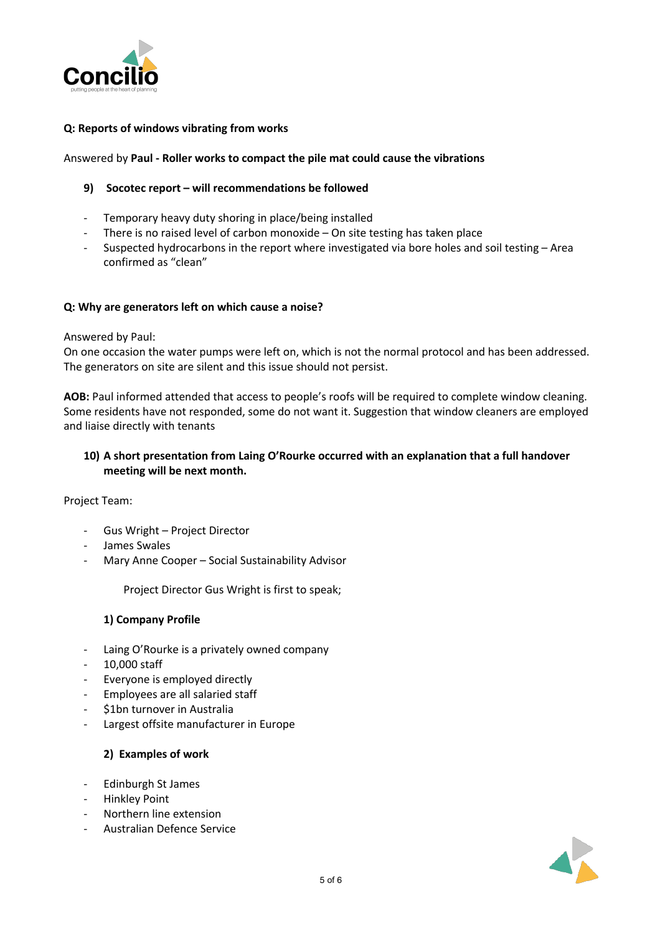

## **Q: Reports of windows vibrating from works**

#### Answered by **Paul - Roller works to compact the pile mat could cause the vibrations**

#### **9) Socotec report – will recommendations be followed**

- Temporary heavy duty shoring in place/being installed
- There is no raised level of carbon monoxide  $-$  On site testing has taken place
- Suspected hydrocarbons in the report where investigated via bore holes and soil testing Area confirmed as "clean"

#### **Q: Why are generators left on which cause a noise?**

#### Answered by Paul:

On one occasion the water pumps were left on, which is not the normal protocol and has been addressed. The generators on site are silent and this issue should not persist.

**AOB:** Paul informed attended that access to people's roofs will be required to complete window cleaning. Some residents have not responded, some do not want it. Suggestion that window cleaners are employed and liaise directly with tenants

### **10) A short presentation from Laing O'Rourke occurred with an explanation that a full handover meeting will be next month.**

Project Team:

- Gus Wright Project Director
- James Swales
- Mary Anne Cooper Social Sustainability Advisor

Project Director Gus Wright is first to speak;

#### **1) Company Profile**

- Laing O'Rourke is a privately owned company
- 10,000 staff
- Everyone is employed directly
- Employees are all salaried staff
- \$1bn turnover in Australia
- Largest offsite manufacturer in Europe

#### **2) Examples of work**

- Edinburgh St James
- Hinkley Point
- Northern line extension
- Australian Defence Service